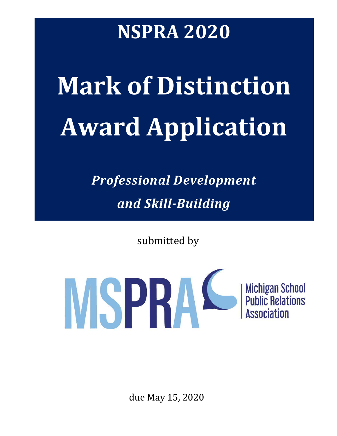# **NSPRA 2020**

# **Mark of Distinction Award Application**

*Professional Development and Skill-Building*

submitted by



due May 15, 2020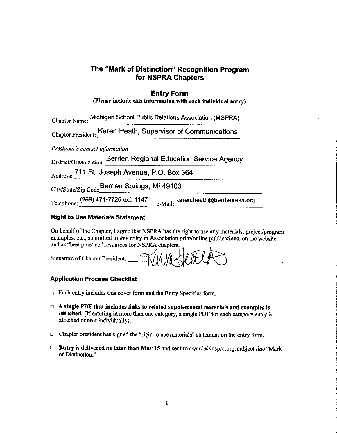## The "Mark of Distinction" Recognition Program for NSPRA Chapters

#### **Entry Form**

|  | (Please include this information with each individual entry) |  |  |  |
|--|--------------------------------------------------------------|--|--|--|
|--|--------------------------------------------------------------|--|--|--|

| Chapter Name: Michigan School Public Relations Association (MSPRA)         |  |
|----------------------------------------------------------------------------|--|
| Chapter President: Karen Heath, Supervisor of Communications               |  |
| President's contact information                                            |  |
| District/Organization: Berrien Regional Education Service Agency           |  |
| Address: 711 St. Joseph Avenue, P.O. Box 364                               |  |
| City/State/Zip Code Berrien Springs, MI 49103                              |  |
| Telephone: (269) 471-7725 ext. 1147<br>e-Mail: karen.heath@berrienresa.org |  |

#### **Right to Use Materials Statement**

On behalf of the Chapter, I agree that NSPRA has the right to use any materials, project/program examples, etc., submitted in this entry in Association print/online publications, on the website, and as "best practice" resources for NSPRA chapters.

| $\infty$<br>Signature of Chapter President:<br>TWWHEN " |  |
|---------------------------------------------------------|--|
|---------------------------------------------------------|--|

#### **Application Process Checklist**

- $\Box$  Each entry includes this cover form and the Entry Specifics form.
- $\Box$  A single PDF that includes links to related supplemental materials and examples is attached. (If entering in more than one category, a single PDF for each category entry is attached or sent individually).
- □ Chapter president has signed the "right to use materials" statement on the entry form.
- **Entry is delivered no later than May 15 and sent to awards@nspra.org, subject line "Mark** of Distinction."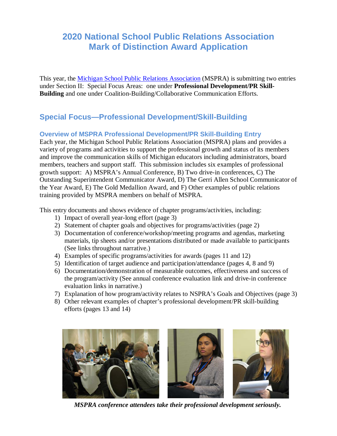# **2020 National School Public Relations Association Mark of Distinction Award Application**

This year, the [Michigan School Public Relations Association](http://www.mspra.org/) (MSPRA) is submitting two entries under Section II: Special Focus Areas: one under **Professional Development/PR Skill-Building** and one under Coalition-Building/Collaborative Communication Efforts.

# **Special Focus—Professional Development/Skill-Building**

## **Overview of MSPRA Professional Development/PR Skill-Building Entry**

Each year, the Michigan School Public Relations Association (MSPRA) plans and provides a variety of programs and activities to support the professional growth and status of its members and improve the communication skills of Michigan educators including administrators, board members, teachers and support staff. This submission includes six examples of professional growth support: A) MSPRA's Annual Conference, B) Two drive-in conferences, C) The Outstanding Superintendent Communicator Award, D) The Gerri Allen School Communicator of the Year Award, E) The Gold Medallion Award, and F) Other examples of public relations training provided by MSPRA members on behalf of MSPRA.

This entry documents and shows evidence of chapter programs/activities, including:

- 1) Impact of overall year-long effort (page 3)
- 2) Statement of chapter goals and objectives for programs/activities (page 2)
- 3) Documentation of conference/workshop/meeting programs and agendas, marketing materials, tip sheets and/or presentations distributed or made available to participants (See links throughout narrative.)
- 4) Examples of specific programs/activities for awards (pages 11 and 12)
- 5) Identification of target audience and participation/attendance (pages 4, 8 and 9)
- 6) Documentation/demonstration of measurable outcomes, effectiveness and success of the program/activity (See annual conference evaluation link and drive-in conference evaluation links in narrative.)
- 7) Explanation of how program/activity relates to NSPRA's Goals and Objectives (page 3)
- 8) Other relevant examples of chapter's professional development/PR skill-building efforts (pages 13 and 14)



*MSPRA conference attendees take their professional development seriously.*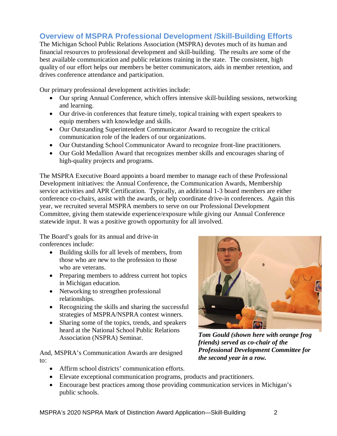# **Overview of MSPRA Professional Development /Skill-Building Efforts**

The Michigan School Public Relations Association (MSPRA) devotes much of its human and financial resources to professional development and skill-building. The results are some of the best available communication and public relations training in the state. The consistent, high quality of our effort helps our members be better communicators, aids in member retention, and drives conference attendance and participation.

Our primary professional development activities include:

- Our spring Annual Conference, which offers intensive skill-building sessions, networking and learning.
- Our drive-in conferences that feature timely, topical training with expert speakers to equip members with knowledge and skills.
- Our Outstanding Superintendent Communicator Award to recognize the critical communication role of the leaders of our organizations.
- Our Outstanding School Communicator Award to recognize front-line practitioners.
- Our Gold Medallion Award that recognizes member skills and encourages sharing of high-quality projects and programs.

The MSPRA Executive Board appoints a board member to manage each of these Professional Development initiatives: the Annual Conference, the Communication Awards, Membership service activities and APR Certification. Typically, an additional 1-3 board members are either conference co-chairs, assist with the awards, or help coordinate drive-in conferences. Again this year, we recruited several MSPRA members to serve on our Professional Development Committee, giving them statewide experience/exposure while giving our Annual Conference statewide input. It was a positive growth opportunity for all involved.

The Board's goals for its annual and drive-in conferences include:

- Building skills for all levels of members, from those who are new to the profession to those who are veterans.
- Preparing members to address current hot topics in Michigan education.
- Networking to strengthen professional relationships.
- Recognizing the skills and sharing the successful strategies of MSPRA/NSPRA contest winners.
- Sharing some of the topics, trends, and speakers heard at the National School Public Relations Association (NSPRA) Seminar.

And, MSPRA's Communication Awards are designed to:

• Affirm school districts' communication efforts.



*Tom Gould (shown here with orange frog friends) served as co-chair of the Professional Development Committee for the second year in a row.*

- Elevate exceptional communication programs, products and practitioners.
- Encourage best practices among those providing communication services in Michigan's public schools.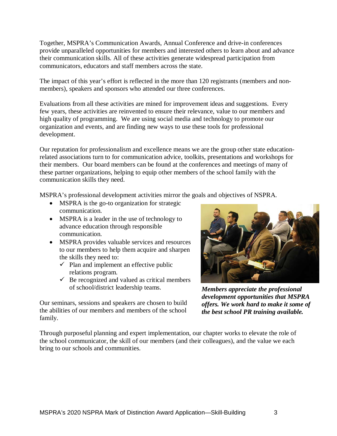Together, MSPRA's Communication Awards, Annual Conference and drive-in conferences provide unparalleled opportunities for members and interested others to learn about and advance their communication skills. All of these activities generate widespread participation from communicators, educators and staff members across the state.

The impact of this year's effort is reflected in the more than 120 registrants (members and nonmembers), speakers and sponsors who attended our three conferences.

Evaluations from all these activities are mined for improvement ideas and suggestions. Every few years, these activities are reinvented to ensure their relevance, value to our members and high quality of programming. We are using social media and technology to promote our organization and events, and are finding new ways to use these tools for professional development.

Our reputation for professionalism and excellence means we are the group other state educationrelated associations turn to for communication advice, toolkits, presentations and workshops for their members. Our board members can be found at the conferences and meetings of many of these partner organizations, helping to equip other members of the school family with the communication skills they need.

MSPRA's professional development activities mirror the goals and objectives of NSPRA.

- MSPRA is the go-to organization for strategic communication.
- MSPRA is a leader in the use of technology to advance education through responsible communication.
- MSPRA provides valuable services and resources to our members to help them acquire and sharpen the skills they need to:
	- $\checkmark$  Plan and implement an effective public relations program.
	- $\checkmark$  Be recognized and valued as critical members of school/district leadership teams.

Our seminars, sessions and speakers are chosen to build the abilities of our members and members of the school family.



*Members appreciate the professional development opportunities that MSPRA offers. We work hard to make it some of the best school PR training available.*

Through purposeful planning and expert implementation, our chapter works to elevate the role of the school communicator, the skill of our members (and their colleagues), and the value we each bring to our schools and communities.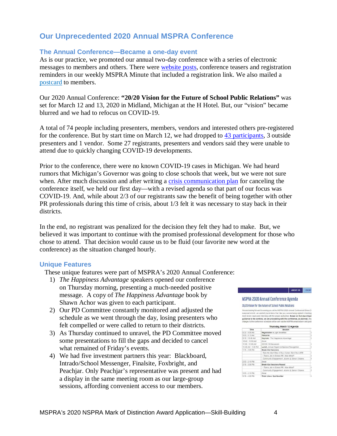# **Our Unprecedented 2020 Annual MSPRA Conference**

#### **The Annual Conference—Became a one-day event**

As is our practice, we promoted our annual two-day conference with a series of electronic messages to members and others. There were [website posts,](https://drive.google.com/file/d/1v2zvnwEXFGt3wZmYVJbg46hCtz2xPEtw/view?usp=sharing) conference teasers and registration reminders in our weekly MSPRA Minute that included a registration link. We also mailed a [postcard](https://drive.google.com/file/d/1z0oA8vrD6__e1tc7UGT84imYmxMX0srh/view?usp=sharing) to members.

Our 2020 Annual Conference: **"20/20 Vision for the Future of School Public Relations"** was set for March 12 and 13, 2020 in Midland, Michigan at the H Hotel. But, our "vision" became blurred and we had to refocus on COVID-19.

A total of 74 people including presenters, members, vendors and interested others pre-registered for the conference. But by start time on March 12, we had dropped to [43 participants,](https://drive.google.com/file/d/16HosKuk2A0W-vXMz3EuhLjE7FvnlQnEl/view?usp=sharing) 3 outside presenters and 1 vendor. Some 27 registrants, presenters and vendors said they were unable to attend due to quickly changing COVID-19 developments.

Prior to the conference, there were no known COVID-19 cases in Michigan. We had heard rumors that Michigan's Governor was going to close schools that week, but we were not sure when. After much discussion and after writing a [crisis communication plan](https://drive.google.com/file/d/1tWuXrzpRRNh27N_R-NyiCUG8vrEKMdJo/view?usp=sharing) for canceling the conference itself, we held our first day—with a revised agenda so that part of our focus was COVID-19. And, while about 2/3 of our registrants saw the benefit of being together with other PR professionals during this time of crisis, about 1/3 felt it was necessary to stay back in their districts.

In the end, no registrant was penalized for the decision they felt they had to make. But, we believed it was important to continue with the promised professional development for those who chose to attend. That decision would cause us to be fluid (our favorite new word at the conference) as the situation changed hourly.

#### **Unique Features**

These unique features were part of MSPRA's 2020 Annual Conference:

- 1) *The Happiness Advantage* speakers opened our conference on Thursday morning, presenting a much-needed positive message. A copy of *The Happiness Advantage* book by Shawn Achor was given to each participant.
- 2) Our PD Committee constantly monitored and adjusted the schedule as we went through the day, losing presenters who felt compelled or were called to return to their districts.
- 3) As Thursday continued to unravel, the PD Committee moved some presentations to fill the gaps and decided to cancel what remained of Friday's events.
- 4) We had five investment partners this year: Blackboard, Intrado/School Messenger, Finalsite, Foxbright, and Peachjar. Only Peachjar's representative was present and had a display in the same meeting room as our large-group sessions, affording convenient access to our members.

# ABOUT US EVENTS

MSPRA 2020 Annual Conference Agenda

#### 20/20 Vision for the Future of School Public Relations

We are looking forward to seeing you at the MSPRA 2020 Annual Conference! Since C<br>everyone's mind, we wanted you to know that, like you, we are being vigilant in tracking most recent cases and checking with the proper authorities. Based on that due diliger<br>guidance to the contrary, we are proceeding with the conference, as planned. Any

| Thursday, March 12 Agenda |                                                                                 |  |
|---------------------------|---------------------------------------------------------------------------------|--|
| Time                      | Session                                                                         |  |
| $30 - 9.00$ AM            | Registration & Light Breakfast                                                  |  |
| $00 - 9.15$ AM            | Welcome                                                                         |  |
| 15 - 10:45 AM             | Keynote - The Happiness Aovantage                                               |  |
| $0.45 - 1100$ AM          | Renair                                                                          |  |
| $100 - 1145$ AM           | COVID-19 Discussion                                                             |  |
| 1:45 AM - 1:00 PM         | Lunch, Antual Report, & Spensor Recognition.                                    |  |
| 15 - 2:00 PM              | Break-Out Sessions                                                              |  |
|                           | Take the Next Step in Your Career: Earn Your APR                                |  |
|                           | I Took a Job in School PR. Now What?                                            |  |
|                           | Community Engagement - Alumni & Senior Citzens                                  |  |
| 00 - 2:15 PM              | Break                                                                           |  |
| 15 - 3:00 PM              | Break-Out Sessions Repeat                                                       |  |
|                           | J Took a Job in School PR Now What?                                             |  |
|                           | Community Engagement - Alumni & Senior Otizens:                                 |  |
| $00 - 3.15$ PM            | <b>Break</b>                                                                    |  |
| with the state state in   | are the property of the control of the control of the control of the control of |  |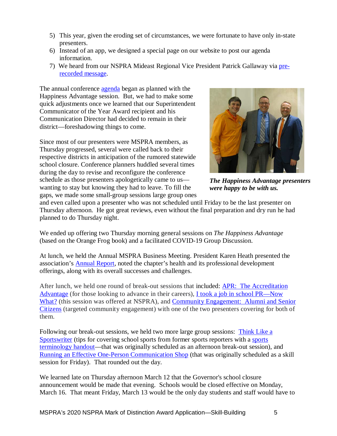- 5) This year, given the eroding set of circumstances, we were fortunate to have only in-state presenters.
- 6) Instead of an app, we designed a special page on our website to post our agenda information.
- 7) We heard from our NSPRA Mideast Regional Vice President Patrick Gallaway via [pre](https://drive.google.com/file/d/1z1JzfX-kbSPiKrobds15vWZ8UoH21-vi/view?usp=sharing)[recorded message.](https://drive.google.com/file/d/1z1JzfX-kbSPiKrobds15vWZ8UoH21-vi/view?usp=sharing)

The annual conference [agenda](https://drive.google.com/file/d/1e3ZY2e81d1duIvKdxVJBegzTUXPytPKR/view?usp=sharing) began as planned with the Happiness Advantage session. But, we had to make some quick adjustments once we learned that our Superintendent Communicator of the Year Award recipient and his Communication Director had decided to remain in their district—foreshadowing things to come.

Since most of our presenters were MSPRA members, as Thursday progressed, several were called back to their respective districts in anticipation of the rumored statewide school closure. Conference planners huddled several times during the day to revise and reconfigure the conference schedule as those presenters apologetically came to us wanting to stay but knowing they had to leave. To fill the gaps, we made some small-group sessions large group ones



*The Happiness Advantage presenters were happy to be with us.*

and even called upon a presenter who was not scheduled until Friday to be the last presenter on Thursday afternoon. He got great reviews, even without the final preparation and dry run he had planned to do Thursday night.

We ended up offering two Thursday morning general sessions on *The Happiness Advantage* (based on the Orange Frog book) and a facilitated COVID-19 Group Discussion.

At lunch, we held the Annual MSPRA Business Meeting. President Karen Heath presented the association's [Annual Report,](https://drive.google.com/file/d/1i7yDU-R_39bWD0qN6b3Y4rly59JTxWpL/view?usp=sharing) noted the chapter's health and its professional development offerings, along with its overall successes and challenges.

After lunch, we held one round of break-out sessions that included: [APR: The Accreditation](https://drive.google.com/file/d/1nkXVPT2noMeKcY1tkq5z6Hap-7DP22qB/view?usp=sharing)  [Advantage](https://drive.google.com/file/d/1nkXVPT2noMeKcY1tkq5z6Hap-7DP22qB/view?usp=sharing) (for those looking to advance in their careers), [I took a job in school PR—Now](https://drive.google.com/file/d/1CBJDjWGeKy5SD6xq6UNSCA1dcbprVaeV/view?usp=sharing)  [What?](https://drive.google.com/file/d/1CBJDjWGeKy5SD6xq6UNSCA1dcbprVaeV/view?usp=sharing) (this session was offered at NSPRA), and Community Engagement: Alumni and Senior [Citizens](https://drive.google.com/file/d/1fJ1KKRzudau-9VfXU5SAIueJFbc7wor4/view?usp=sharing) (targeted community engagement) with one of the two presenters covering for both of them.

Following our break-out sessions, we held two more large group sessions: Think [Like a](https://drive.google.com/file/d/18M6iocK3EX8tjn8UCb6OCTBQ-Tlnq-Qr/view?usp=sharing)  [Sportswriter](https://drive.google.com/file/d/18M6iocK3EX8tjn8UCb6OCTBQ-Tlnq-Qr/view?usp=sharing) (tips for covering school sports from former sports reporters with a [sports](https://drive.google.com/file/d/1PQeVJSygDzvPq2_5GSYmkiwgtgD7KhnI/view?usp=sharing)  [terminology handout—](https://drive.google.com/file/d/1PQeVJSygDzvPq2_5GSYmkiwgtgD7KhnI/view?usp=sharing)that was originally scheduled as an afternoon break-out session), and [Running an Effective One-Person Communication Shop](https://drive.google.com/file/d/1bFYkdjEpOmuhoPmVZHfKx86_lGUMZ2Qj/view?usp=sharing) (that was originally scheduled as a skill session for Friday). That rounded out the day.

We learned late on Thursday afternoon March 12 that the Governor's school closure announcement would be made that evening. Schools would be closed effective on Monday, March 16. That meant Friday, March 13 would be the only day students and staff would have to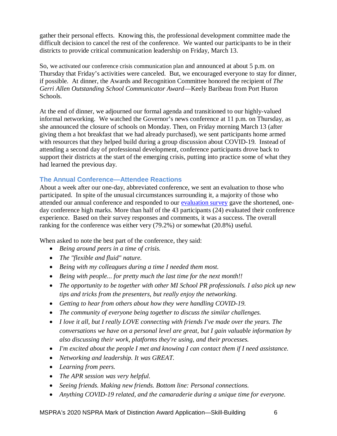gather their personal effects. Knowing this, the professional development committee made the difficult decision to cancel the rest of the conference. We wanted our participants to be in their districts to provide critical communication leadership on Friday, March 13.

So, we activated our conference crisis communication plan and announced at about 5 p.m. on Thursday that Friday's activities were canceled. But, we encouraged everyone to stay for dinner, if possible. At dinner, the Awards and Recognition Committee honored the recipient of *The Gerri Allen Outstanding School Communicator Award*—Keely Baribeau from Port Huron Schools.

At the end of dinner, we adjourned our formal agenda and transitioned to our highly-valued informal networking. We watched the Governor's news conference at 11 p.m. on Thursday, as she announced the closure of schools on Monday. Then, on Friday morning March 13 (after giving them a hot breakfast that we had already purchased), we sent participants home armed with resources that they helped build during a group discussion about COVID-19. Instead of attending a second day of professional development, conference participants drove back to support their districts at the start of the emerging crisis, putting into practice some of what they had learned the previous day.

#### **The Annual Conference—Attendee Reactions**

About a week after our one-day, abbreviated conference, we sent an evaluation to those who participated. In spite of the unusual circumstances surrounding it, a majority of those who attended our annual conference and responded to our [evaluation survey](https://drive.google.com/file/d/1KAXwVRlNPNB2bmbqjfnMUY_cFutNAYOv/view?usp=sharing) gave the shortened, oneday conference high marks. More than half of the 43 participants (24) evaluated their conference experience. Based on their survey responses and comments, it was a success. The overall ranking for the conference was either very (79.2%) or somewhat (20.8%) useful.

When asked to note the best part of the conference, they said:

- *Being around peers in a time of crisis.*
- *The "flexible and fluid" nature.*
- *Being with my colleagues during a time I needed them most.*
- *Being with people... for pretty much the last time for the next month!!*
- *The opportunity to be together with other MI School PR professionals. I also pick up new tips and tricks from the presenters, but really enjoy the networking.*
- *Getting to hear from others about how they were handling COVID-19.*
- *The community of everyone being together to discuss the similar challenges.*
- *I love it all, but I really LOVE connecting with friends I've made over the years. The conversations we have on a personal level are great, but I gain valuable information by also discussing their work, platforms they're using, and their processes.*
- *I'm excited about the people I met and knowing I can contact them if I need assistance.*
- *Networking and leadership. It was GREAT.*
- *Learning from peers.*
- *The APR session was very helpful.*
- *Seeing friends. Making new friends. Bottom line: Personal connections.*
- *Anything COVID-19 related, and the camaraderie during a unique time for everyone.*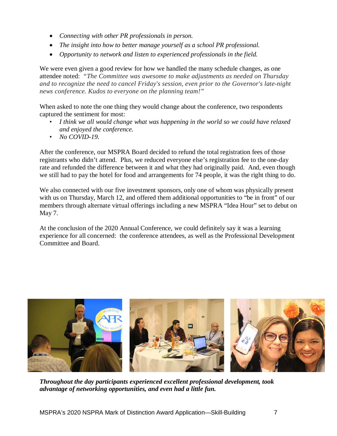- *Connecting with other PR professionals in person.*
- *The insight into how to better manage yourself as a school PR professional.*
- *Opportunity to network and listen to experienced professionals in the field.*

We were even given a good review for how we handled the many schedule changes, as one attendee noted: *"The Committee was awesome to make adjustments as needed on Thursday and to recognize the need to cancel Friday's session, even prior to the Governor's late-night news conference. Kudos to everyone on the planning team!"*

When asked to note the one thing they would change about the conference, two respondents captured the sentiment for most:

- *• I think we all would change what was happening in the world so we could have relaxed and enjoyed the conference.*
- *• No COVID-19.*

After the conference, our MSPRA Board decided to refund the total registration fees of those registrants who didn't attend. Plus, we reduced everyone else's registration fee to the one-day rate and refunded the difference between it and what they had originally paid. And, even though we still had to pay the hotel for food and arrangements for 74 people, it was the right thing to do.

We also connected with our five investment sponsors, only one of whom was physically present with us on Thursday, March 12, and offered them additional opportunities to "be in front" of our members through alternate virtual offerings including a new MSPRA "Idea Hour" set to debut on May 7.

At the conclusion of the 2020 Annual Conference, we could definitely say it was a learning experience for all concerned: the conference attendees, as well as the Professional Development Committee and Board.



*Throughout the day participants experienced excellent professional development, took advantage of networking opportunities, and even had a little fun.*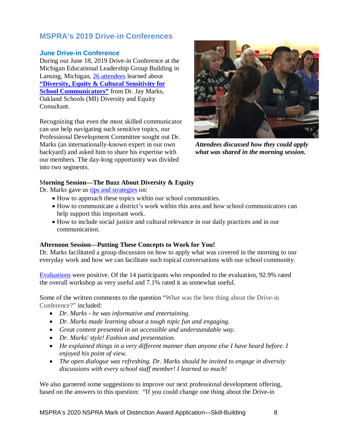# **MSPRA's 2019 Drive-in Conferences**

#### **June Drive-in Conference**

During our June 18, 2019 Drive-in Conference at the Michigan Educational Leadership Group Building in Lansing, Michigan, [26 attendees](https://drive.google.com/file/d/1oAhhMEjgw3MA0c9dkiYiRYbHYpNeKLm3/view?usp=sharing) learned about **["Diversity, Equity & Cultural Sensitivity for](https://drive.google.com/file/d/1rYMjQpt17UqEZuiVZKPYFbKYQlapYOXl/view?usp=sharing)  [School Communicators"](https://drive.google.com/file/d/1rYMjQpt17UqEZuiVZKPYFbKYQlapYOXl/view?usp=sharing)** from Dr. Jay Marks, Oakland Schools (MI) Diversity and Equity Consultant.

Recognizing that even the most skilled communicator can use help navigating such sensitive topics, our Professional Development Committee sought out Dr. Marks (an internationally-known expert in our own backyard) and asked him to share his expertise with our members. The day-long opportunity was divided into two segments.



*Attendees discussed how they could apply what was shared in the morning session.*

#### M**orning Session—The Buzz About Diversity & Equity**

Dr. Marks gave us [tips and strategies](https://drive.google.com/file/d/1ildB7YI1xZe9TEbLnlNcbH59SEpRxRhG/view?usp=sharing) on:

- How to approach these topics within our school communities.
- How to communicate a district's work within this area and how school communicators can help support this important work.
- How to include social justice and cultural relevance in our daily practices and in our communication.

#### **Afternoon Session—Putting These Concepts to Work for You!**

Dr. Marks facilitated a group discussion on how to apply what was covered in the morning to our everyday work and how we can facilitate such topical conversations with our school community.

[Evaluations](https://drive.google.com/file/d/1hW_6qPMvaWt9EECj5vxE1NhG0sDcgbym/view?usp=sharing) were positive. Of the 14 participants who responded to the evaluation, 92.9% rated the overall workshop as very useful and 7.1% rated it as somewhat useful.

Some of the written comments to the question "What was the best thing about the Drive-in Conference?" included:

- *Dr. Marks - he was informative and entertaining.*
- *Dr. Marks made learning about a tough topic fun and engaging.*
- *Great content presented in an accessible and understandable way.*
- *Dr. Marks' style! Fashion and presentation.*
- *He explained things in a very different manner than anyone else I have heard before. I enjoyed his point of view.*
- *The open dialogue was refreshing. Dr. Marks should be invited to engage in diversity discussions with every school staff member! I learned so much!*

We also garnered some suggestions to improve our next professional development offering, based on the answers to this question: "If you could change one thing about the Drive-in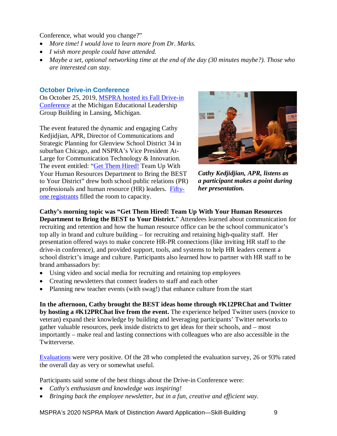Conference, what would you change?"

- *More time! I would love to learn more from Dr. Marks.*
- *I wish more people could have attended.*
- *Maybe a set, optional networking time at the end of the day (30 minutes maybe?). Those who are interested can stay.*

#### **October Drive-in Conference**

On October 25, 2019, [MSPRA hosted its Fall Drive-in](https://drive.google.com/file/d/1nIf8_MGA2hLSUV8CQYkJP41m4SJGf0MN/view?usp=sharing)  [Conference](https://drive.google.com/file/d/1nIf8_MGA2hLSUV8CQYkJP41m4SJGf0MN/view?usp=sharing) at the Michigan Educational Leadership Group Building in Lansing, Michigan.

The event featured the dynamic and engaging Cathy Kedjidjian, APR, Director of Communications and Strategic Planning for Glenview School District 34 in suburban Chicago, and NSPRA's Vice President At-Large for Communication Technology & Innovation. The event entitled: ["Get Them Hired!](https://drive.google.com/file/d/12egP-FdBoMbiLy4pOUplGsAVQs_fmZuY/view?usp=sharing) Team Up With Your Human Resources Department to Bring the BEST to Your District" drew both school public relations (PR) professionals and human resource (HR) leaders. [Fifty](https://drive.google.com/file/d/1X4jJ-cGC_wm4eJk6fuAV9etvTiJhfKEG/view?usp=sharing)[one registrants](https://drive.google.com/file/d/1X4jJ-cGC_wm4eJk6fuAV9etvTiJhfKEG/view?usp=sharing) filled the room to capacity.



*Cathy Kedjidjian, APR, listens as a participant makes a point during her presentation.*

**Cathy's morning topic was "Get Them Hired! Team Up With Your Human Resources Department to Bring the BEST to Your District.**" Attendees learned about communication for recruiting and retention and how the human resource office can be the school communicator's top ally in brand and culture building – for recruiting and retaining high-quality staff. Her presentation offered ways to make concrete HR-PR connections (like inviting HR staff to the drive-in conference), and provided support, tools, and systems to help HR leaders cement a school district's image and culture. Participants also learned how to partner with HR staff to be brand ambassadors by:

- Using video and social media for recruiting and retaining top employees
- Creating newsletters that connect leaders to staff and each other
- Planning new teacher events (with swag!) that enhance culture from the start

**In the afternoon, Cathy brought the BEST ideas home through #K12PRChat and Twitter by hosting a #K12PRChat live from the event.** The experience helped Twitter users (novice to veteran) expand their knowledge by building and leveraging participants' Twitter networks to gather valuable resources, peek inside districts to get ideas for their schools, and – most importantly – make real and lasting connections with colleagues who are also accessible in the Twitterverse.

[Evaluations](https://drive.google.com/file/d/1TCDoWTcmgi_cO-jaY9moe_AKhNDwutZH/view?usp=sharing) were very positive. Of the 28 who completed the evaluation survey, 26 or 93% rated the overall day as very or somewhat useful.

Participants said some of the best things about the Drive-in Conference were:

- *Cathy's enthusiasm and knowledge was inspiring!*
- *Bringing back the employee newsletter, but in a fun, creative and efficient way.*

MSPRA's 2020 NSPRA Mark of Distinction Award Application—Skill-Building 9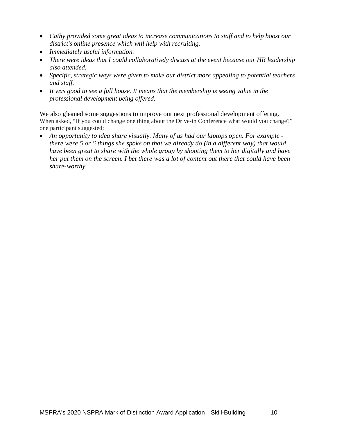- *Cathy provided some great ideas to increase communications to staff and to help boost our district's online presence which will help with recruiting.*
- *Immediately useful information.*
- *There were ideas that I could collaboratively discuss at the event because our HR leadership also attended.*
- *Specific, strategic ways were given to make our district more appealing to potential teachers and staff.*
- *It was good to see a full house. It means that the membership is seeing value in the professional development being offered.*

We also gleaned some suggestions to improve our next professional development offering. When asked, "If you could change one thing about the Drive-in Conference what would you change?" one participant suggested:

• *An opportunity to idea share visually. Many of us had our laptops open. For example there were 5 or 6 things she spoke on that we already do (in a different way) that would have been great to share with the whole group by shooting them to her digitally and have her put them on the screen. I bet there was a lot of content out there that could have been share-worthy.*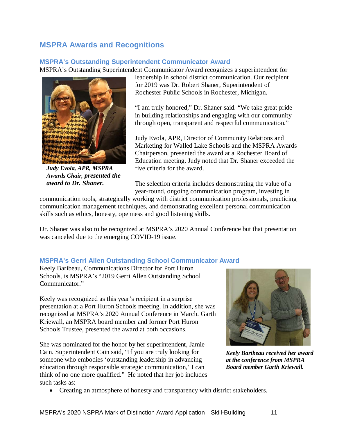# **MSPRA Awards and Recognitions**

#### **MSPRA's Outstanding Superintendent Communicator Award**

MSPRA's Outstanding Superintendent Communicator Award recognizes a superintendent for



*Judy Evola, APR, MSPRA Awards Chair, presented the award to Dr. Shaner.*

leadership in school district communication. Our recipient for 2019 was Dr. Robert Shaner, Superintendent of Rochester Public Schools in Rochester, Michigan.

"I am truly honored," Dr. Shaner said. "We take great pride in building relationships and engaging with our community through open, transparent and respectful communication."

Judy Evola, APR, Director of Community Relations and Marketing for Walled Lake Schools and the MSPRA Awards Chairperson, presented the award at a Rochester Board of Education meeting. Judy noted that Dr. Shaner exceeded the five criteria for the award.

The selection criteria includes demonstrating the value of a year-round, ongoing communication program, investing in

communication tools, strategically working with district communication professionals, practicing communication management techniques, and demonstrating excellent personal communication skills such as ethics, honesty, openness and good listening skills.

Dr. Shaner was also to be recognized at MSPRA's 2020 Annual Conference but that presentation was canceled due to the emerging COVID-19 issue.

#### **MSPRA's Gerri Allen Outstanding School Communicator Award**

Keely Baribeau, Communications Director for Port Huron Schools, is MSPRA's "2019 Gerri Allen Outstanding School Communicator."

Keely was recognized as this year's recipient in a surprise presentation at a Port Huron Schools meeting. In addition, she was recognized at MSPRA's 2020 Annual Conference in March. Garth Kriewall, an MSPRA board member and former Port Huron Schools Trustee, presented the award at both occasions.

She was nominated for the honor by her superintendent, Jamie Cain. Superintendent Cain said, "If you are truly looking for someone who embodies 'outstanding leadership in advancing education through responsible strategic communication,' I can think of no one more qualified." He noted that her job includes such tasks as:



*Keely Baribeau received her award at the conference from MSPRA Board member Garth Kriewall.*

• Creating an atmosphere of honesty and transparency with district stakeholders.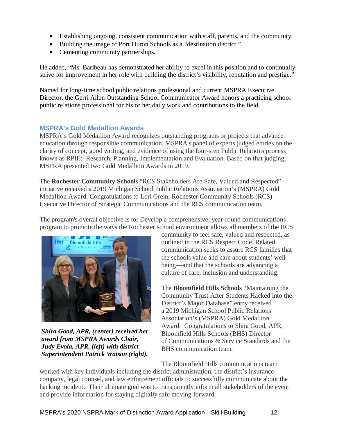- Establishing ongoing, consistent communication with staff, parents, and the community.
- Building the image of Port Huron Schools as a "destination district."
- Cementing community partnerships.

He added, "Ms. Baribeau has demonstrated her ability to excel in this position and to continually strive for improvement in her role with building the district's visibility, reputation and prestige."

Named for long-time school public relations professional and current MSPRA Executive Director, the Gerri Allen Outstanding School Communicator Award honors a practicing school public relations professional for his or her daily work and contributions to the field.

#### **MSPRA's Gold Medallion Awards**

MSPRA's Gold Medallion Award recognizes outstanding programs or projects that advance education through responsible communication. MSPRA's panel of experts judged entries on the clarity of concept, good writing, and evidence of using the four-step Public Relations process known as RPIE: Research, Planning, Implementation and Evaluation. Based on that judging, MSPRA presented two Gold Medallion Awards in 2019.

The **Rochester Community Schools** "RCS Stakeholders Are Safe, Valued and Respected" initiative received a 2019 Michigan School Public Relations Association's (MSPRA) Gold Medallion Award. Congratulations to Lori Grein, Rochester Community Schools (RCS) Executive Director of Strategic Communications and the RCS communication team.

The program's overall objective is to: Develop a comprehensive, year-round communications program to promote the ways the Rochester school environment allows all members of the RCS



*Shira Good, APR, (center) received her award from MSPRA Awards Chair, Judy Evola, APR, (left) with district Superintendent Patrick Watson (right).*

community to feel safe, valued and respected, as outlined in the RCS Respect Code. Related communication seeks to assure RCS families that the schools value and care about students' wellbeing—and that the schools are advancing a culture of care, inclusion and understanding.

The **Bloomfield Hills Schools** "Maintaining the Community Trust After Students Hacked into the District's Major Database" entry received a 2019 Michigan School Public Relations Association's (MSPRA) Gold Medallion Award. Congratulations to Shira Good, APR, Bloomfield Hills Schools (BHS) Director of Communications & Service Standards and the BHS communication team.

The Bloomfield Hills communications team

worked with key individuals including the district administration, the district's insurance company, legal counsel, and law enforcement officials to successfully communicate about the hacking incident. Their ultimate goal was to transparently inform all stakeholders of the event and provide information for staying digitally safe moving forward.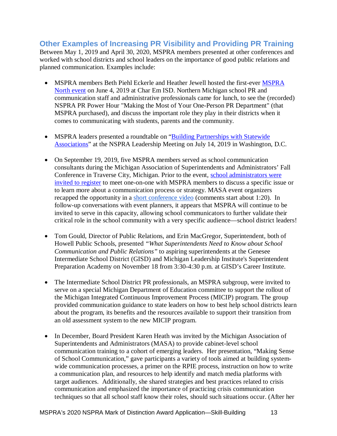#### **Other Examples of Increasing PR Visibility and Providing PR Training** Between May 1, 2019 and April 30, 2020, MSPRA members presented at other conferences and worked with school districts and school leaders on the importance of good public relations and planned communication. Examples include:

- • [MSPRA](https://drive.google.com/file/d/16ymHWB8m4Hlte9MJ-fklm5y10ctAXmnF/view?usp=sharing) members Beth Piehl Eckerle and Heather Jewell hosted the first-ever MSPRA [North event](https://drive.google.com/file/d/16ymHWB8m4Hlte9MJ-fklm5y10ctAXmnF/view?usp=sharing) on June 4, 2019 at Char Em ISD. Northern Michigan school PR and communication staff and administrative professionals came for lunch, to see the (recorded) NSPRA PR Power Hour "Making the Most of Your One-Person PR Department" (that MSPRA purchased), and discuss the important role they play in their districts when it comes to communicating with students, parents and the community.
- MSPRA leaders presented a roundtable on "Building Partnerships with Statewide [Associations"](https://drive.google.com/file/d/1ZzcC-FwngCnClHZctQowg_OPCWwWvBXp/view?usp=sharing) at the NSPRA Leadership Meeting on July 14, 2019 in Washington, D.C.
- On September 19, 2019, five MSPRA members served as school communication consultants during the Michigan Association of Superintendents and Administrators' Fall Conference in Traverse City, Michigan. Prior to the event, [school administrators were](https://drive.google.com/file/d/1mVgYRUGYx8972qwSgtqIWh7F-ym6XZs6/view?usp=sharing)  [invited to register](https://drive.google.com/file/d/1mVgYRUGYx8972qwSgtqIWh7F-ym6XZs6/view?usp=sharing) to meet one-on-one with MSPRA members to discuss a specific issue or to learn more about a communication process or strategy. MASA event organizers recapped the opportunity in a [short conference video](https://www.youtube.com/watch?v=g8spLnoHcFg&feature=youtu.be) (comments start about 1:20). In follow-up conversations with event planners, it appears that MSPRA will continue to be invited to serve in this capacity, allowing school communicators to further validate their critical role in the school community with a very specific audience—school district leaders!
- Tom Gould, Director of Public Relations, and Erin MacGregor, Superintendent, both of Howell Public Schools, presented *"What Superintendents Need to Know about School Communication and Public Relations"* to aspiring superintendents at the Genesee Intermediate School District (GISD) and Michigan Leadership Institute's Superintendent Preparation Academy on November 18 from 3:30-4:30 p.m. at GISD's Career Institute.
- The Intermediate School District PR professionals, an MSPRA subgroup, were invited to serve on a special Michigan Department of Education committee to support the rollout of the Michigan Integrated Continuous Improvement Process (MICIP) program. The group provided communication guidance to state leaders on how to best help school districts learn about the program, its benefits and the resources available to support their transition from an old assessment system to the new MICIP program.
- In December, Board President Karen Heath was invited by the Michigan Association of Superintendents and Administrators (MASA) to provide cabinet-level school communication training to a cohort of emerging leaders. Her presentation, "Making Sense of School Communication," gave participants a variety of tools aimed at building systemwide communication processes, a primer on the RPIE process, instruction on how to write a communication plan, and resources to help identify and match media platforms with target audiences. Additionally, she shared strategies and best practices related to crisis communication and emphasized the importance of practicing crisis communication techniques so that all school staff know their roles, should such situations occur. (After her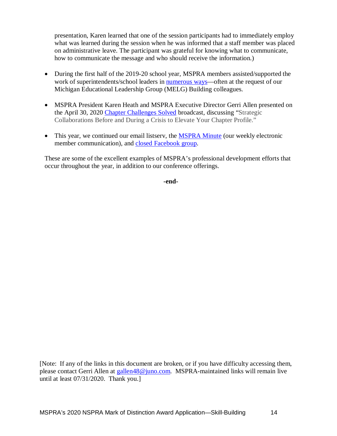presentation, Karen learned that one of the session participants had to immediately employ what was learned during the session when he was informed that a staff member was placed on administrative leave. The participant was grateful for knowing what to communicate, how to communicate the message and who should receive the information.)

- During the first half of the 2019-20 school year, MSPRA members assisted/supported the work of superintendents/school leaders in **numerous ways**—often at the request of our Michigan Educational Leadership Group (MELG) Building colleagues.
- MSPRA President Karen Heath and MSPRA Executive Director Gerri Allen presented on the April 30, 2020 [Chapter Challenges Solved](https://www.nspra.org/ccs2020) broadcast, discussing "Strategic Collaborations Before and During a Crisis to Elevate Your Chapter Profile."
- This year, we continued our email listserv, the **MSPRA Minute** (our weekly electronic member communication), and [closed Facebook group.](https://www.facebook.com/MiSPRA)

These are some of the excellent examples of MSPRA's professional development efforts that occur throughout the year, in addition to our conference offerings.

**-end-**

[Note: If any of the links in this document are broken, or if you have difficulty accessing them, please contact Gerri Allen at **gallen**48@juno.com. MSPRA-maintained links will remain live until at least 07/31/2020. Thank you.]